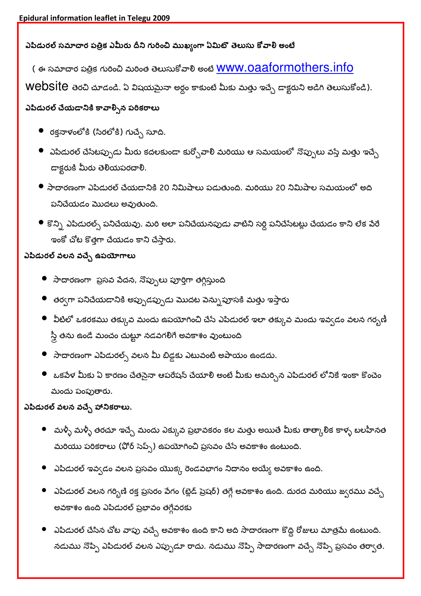## ఎపిడురల్ సమాచార పత్రిక ఎమీరు దీని గురించి ముఖ్యంగా ఏమిటొ తెలుసు కోవాలి అంటే

( ఈ సమాదార పత్రిక గురించి మరింత తెలుసుకోవారి అంటే <mark>WWW.Oaaformoth</mark>ers.info

Website తెరచి చూడండి. ఏ విషయమైనా అర్ధం కాకుంటే మీకు మత్తు ఇచ్చే డాక్టరుని అడిగి తెలుసుకోండి).

## ఎపిడురల్ చేయడానికి కావాల్సిన పరికరాలు

- రక్తనాళంలోకి (సిరలోకి) గుచ్చ సూది.
- $\bullet$  ఎపిడురల్ చేసేటప్పుడు మీరు కదలకుండా కుర్చోవాలి మరియు ఆ సమయంలో నొప్పులు వస్తే మత్తు ఇచ్చే డాక్టరుకి మీరు తెలియపరచాలి.
- $\bullet$  సాదారణంగా ఎపిడురల్ చేయడానికి 20 నిమిషాలు పడుతుంది. మరియు 20 నిమిషాల సమయంలో అది పనిచేయడం మొదలు అవుతుంది.
- $\bullet$  కొన్ని ఎపిడురల్స్ పనిచేయవు. మరి అలా పనిచేయనపుడు వాటిని సర్ది పనిచేసేటట్లు చేయడం కాని లేక వేరే ఇంకో చోట కొత్తగా చేయడం కాని చేస్తారు.

## ఎపిడురల్ వలన వచ్చే ఉపయోగాలు

- $\bullet$  సాదారణంగా ప్రసవ పేదన, నొప్పులు పూర్తిగా తగ్గిస్తుంది
- $\bullet$  తర్వగా పనిచేయడానికి అప్పుడప్పుడు మొదట పెన్నుపూసకి మత్తు ఇస్తారు
- $\bullet$  ఏటిలో ఒకరకము తక్కువ మందు ఉపయోగించి చేసే ఎపిడురల్ ఇలా తక్కువ మందు ఇవ్వడం వలన గర్భణీ స్త్రీ తను ఉండే మంచం చుట్టూ నడవగలిగే అవకాశం వుంటుంది
- $\bullet$  సాదారణంగా ఎపిడురల్స్ వలన మీ బిడ్డకు ఎటువంటి అపాయం ఉండదు.
- $\bullet$  ఒకపేళ మీకు ఏ కారణం చేతనైనా ఆపరేషన్ చేయాలి అంటే మీకు అమర్చిన ఎపిడురల్ లోనికే ఇంకా కొంచెం మందు పంపుతారు.

## ఎపిడురల్ వలన వచ్చే హానికరాలు.

- $\bullet$  మళ్ళీ మళ్ళీ తరచూ ఇచ్చే మందు ఎక్కువ ప్రభావకరం కల మత్తు అయితే మీకు తాత్కాలిక కాళ్ళ బలహీనత మరియు పరికరాలు (ఫోర్ సెప్స్) ఉపయోగించి ప్రసవం చేసే అవకాశం ఉంటుంది.
- $\bullet$  ఎపిడురల్ ఇవ్వడం వలన ప్రసవం యొక్క రెండవభాగం నిదానం అయ్యే అవకాశం ఉంది.
- $\bullet$  ఎపిడురల్ వలన గర్భిణి రక్త ప్రసరం పేగం (బ్లెడ్ ప్రెషర్) తగ్గే అవకాశం ఉంది. దురద మరియు జ్వరము వచ్చే అవకాశం ఉంది ఎపిడురల్ ప్రభావం తగ్గేవరకు
- $\bullet$  ఎపిడురల్ చేసిన చోట వాపు వచ్చే అవకాశం ఉంది కాని అది సాదారణంగా కొద్ది రోజులు మాత్రమే ఉంటుంది. నడుము నొప్పి ఎపిడురల్ వలన ఎప్పుడూ రాదు. నడుము నొప్పి సాదారణంగా వచ్చే నొప్పి ప్రసవం తర్వాత.